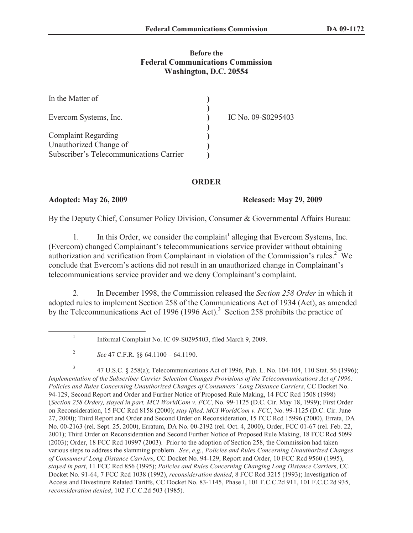## **Before the Federal Communications Commission Washington, D.C. 20554**

| In the Matter of                        |                    |
|-----------------------------------------|--------------------|
| Evercom Systems, Inc.                   | IC No. 09-S0295403 |
| <b>Complaint Regarding</b>              |                    |
| Unauthorized Change of                  |                    |
| Subscriber's Telecommunications Carrier |                    |

## **ORDER**

## **Adopted: May 26, 2009 Released: May 29, 2009**

By the Deputy Chief, Consumer Policy Division, Consumer & Governmental Affairs Bureau:

1. In this Order, we consider the complaint<sup>1</sup> alleging that Evercom Systems, Inc. (Evercom) changed Complainant's telecommunications service provider without obtaining authorization and verification from Complainant in violation of the Commission's rules.<sup>2</sup> We conclude that Evercom's actions did not result in an unauthorized change in Complainant's telecommunications service provider and we deny Complainant's complaint.

2. In December 1998, the Commission released the *Section 258 Order* in which it adopted rules to implement Section 258 of the Communications Act of 1934 (Act), as amended by the Telecommunications Act of 1996 (1996 Act).<sup>3</sup> Section 258 prohibits the practice of

3 47 U.S.C. § 258(a); Telecommunications Act of 1996, Pub. L. No. 104-104, 110 Stat. 56 (1996); *Implementation of the Subscriber Carrier Selection Changes Provisions of the Telecommunications Act of 1996; Policies and Rules Concerning Unauthorized Changes of Consumers' Long Distance Carriers*, CC Docket No. 94-129, Second Report and Order and Further Notice of Proposed Rule Making, 14 FCC Rcd 1508 (1998) (*Section 258 Order), stayed in part, MCI WorldCom v. FCC*, No. 99-1125 (D.C. Cir. May 18, 1999); First Order on Reconsideration, 15 FCC Rcd 8158 (2000); *stay lifted, MCI WorldCom v. FCC*, No. 99-1125 (D.C. Cir. June 27, 2000); Third Report and Order and Second Order on Reconsideration, 15 FCC Rcd 15996 (2000), Errata, DA No. 00-2163 (rel. Sept. 25, 2000), Erratum, DA No. 00-2192 (rel. Oct. 4, 2000), Order, FCC 01-67 (rel. Feb. 22, 2001); Third Order on Reconsideration and Second Further Notice of Proposed Rule Making, 18 FCC Rcd 5099 (2003); Order, 18 FCC Rcd 10997 (2003). Prior to the adoption of Section 258, the Commission had taken various steps to address the slamming problem. *See*, *e.g.*, *Policies and Rules Concerning Unauthorized Changes of Consumers' Long Distance Carriers*, CC Docket No. 94-129, Report and Order, 10 FCC Rcd 9560 (1995), *stayed in part*, 11 FCC Rcd 856 (1995); *Policies and Rules Concerning Changing Long Distance Carrier*s, CC Docket No. 91-64, 7 FCC Rcd 1038 (1992), *reconsideration denied*, 8 FCC Rcd 3215 (1993); Investigation of Access and Divestiture Related Tariffs, CC Docket No. 83-1145, Phase I, 101 F.C.C.2d 911, 101 F.C.C.2d 935, *reconsideration denied*, 102 F.C.C.2d 503 (1985).

<sup>1</sup> Informal Complaint No. IC 09-S0295403, filed March 9, 2009.

<sup>2</sup> *See* 47 C.F.R. §§ 64.1100 – 64.1190.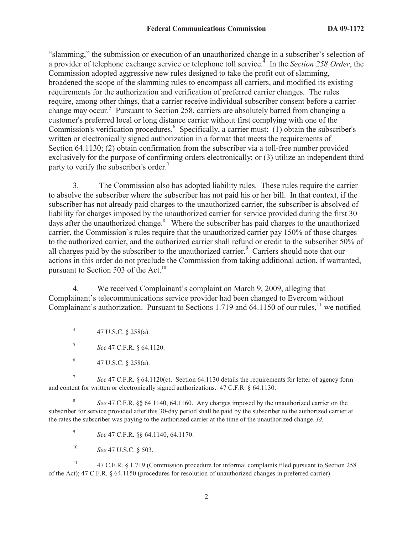"slamming," the submission or execution of an unauthorized change in a subscriber's selection of a provider of telephone exchange service or telephone toll service.<sup>4</sup> In the *Section 258 Order*, the Commission adopted aggressive new rules designed to take the profit out of slamming, broadened the scope of the slamming rules to encompass all carriers, and modified its existing requirements for the authorization and verification of preferred carrier changes. The rules require, among other things, that a carrier receive individual subscriber consent before a carrier change may occur.<sup>5</sup> Pursuant to Section 258, carriers are absolutely barred from changing a customer's preferred local or long distance carrier without first complying with one of the Commission's verification procedures.<sup>6</sup> Specifically, a carrier must: (1) obtain the subscriber's written or electronically signed authorization in a format that meets the requirements of Section 64.1130; (2) obtain confirmation from the subscriber via a toll-free number provided exclusively for the purpose of confirming orders electronically; or (3) utilize an independent third party to verify the subscriber's order.<sup>7</sup>

3. The Commission also has adopted liability rules. These rules require the carrier to absolve the subscriber where the subscriber has not paid his or her bill. In that context, if the subscriber has not already paid charges to the unauthorized carrier, the subscriber is absolved of liability for charges imposed by the unauthorized carrier for service provided during the first 30 days after the unauthorized change. $8$  Where the subscriber has paid charges to the unauthorized carrier, the Commission's rules require that the unauthorized carrier pay 150% of those charges to the authorized carrier, and the authorized carrier shall refund or credit to the subscriber 50% of all charges paid by the subscriber to the unauthorized carrier.<sup>9</sup> Carriers should note that our actions in this order do not preclude the Commission from taking additional action, if warranted, pursuant to Section 503 of the Act.<sup>10</sup>

4. We received Complainant's complaint on March 9, 2009, alleging that Complainant's telecommunications service provider had been changed to Evercom without Complainant's authorization. Pursuant to Sections 1.719 and 64.1150 of our rules,<sup>11</sup> we notified

4 47 U.S.C. § 258(a).

5 *See* 47 C.F.R. § 64.1120.

7 *See* 47 C.F.R. § 64.1120(c). Section 64.1130 details the requirements for letter of agency form and content for written or electronically signed authorizations. 47 C.F.R. § 64.1130.

8 *See* 47 C.F.R. §§ 64.1140, 64.1160. Any charges imposed by the unauthorized carrier on the subscriber for service provided after this 30-day period shall be paid by the subscriber to the authorized carrier at the rates the subscriber was paying to the authorized carrier at the time of the unauthorized change. *Id.*

9 *See* 47 C.F.R. §§ 64.1140, 64.1170.

<sup>10</sup> *See* 47 U.S.C. § 503.

<sup>11</sup> 47 C.F.R. § 1.719 (Commission procedure for informal complaints filed pursuant to Section 258 of the Act); 47 C.F.R. § 64.1150 (procedures for resolution of unauthorized changes in preferred carrier).

<sup>6</sup> 47 U.S.C. § 258(a).